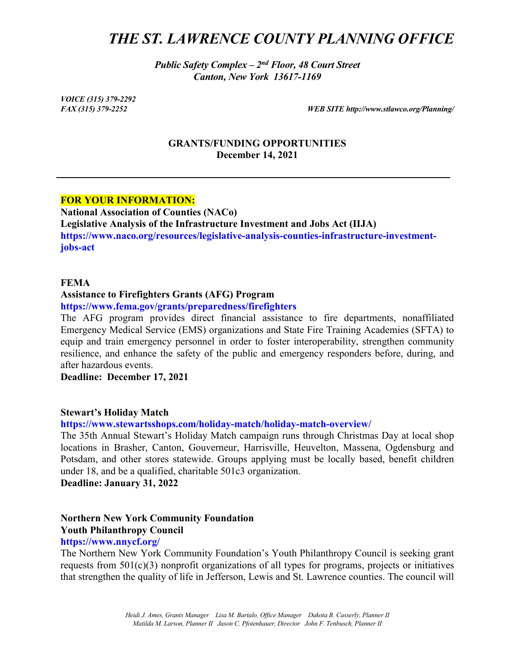# *THE ST. LAWRENCE COUNTY PLANNING OFFICE*

*Public Safety Complex – 2nd Floor, 48 Court Street Canton, New York 13617-1169*

*VOICE (315) 379-2292*

*FAX (315) 379-2252 WEB SITE http://www.stlawco.org/Planning/*

#### **GRANTS/FUNDING OPPORTUNITIES December 14, 2021**

#### **FOR YOUR INFORMATION:**

**National Association of Counties (NACo) Legislative Analysis of the [Infrastructure](http://bit.ly/3xhMFH3) Investment and Jobs Act (IIJA) https://www.naco.org/resources/legislative-analysis-counties-infrastructure-investmentjobs-act**

#### **FEMA**

#### **Assistance to Firefighters Grants (AFG) Program**

**https://www.fema.gov/grants/preparedness/firefighters**

The AFG program provides direct financial assistance to fire departments, nonaffiliated Emergency Medical Service (EMS) organizations and State Fire Training Academies (SFTA) to equip and train emergency personnel in order to foster interoperability, strengthen community resilience, and enhance the safety of the public and emergency responders before, during, and after hazardous events.

**Deadline: December 17, 2021**

#### **Stewart's Holiday Match**

**https://www.stewartsshops.com/holiday-match/holiday-match-overview/**

The 35th Annual Stewart's Holiday Match campaign runs through Christmas Day at local shop locations in Brasher, Canton, Gouverneur, Harrisville, Heuvelton, Massena, Ogdensburg and Potsdam, and other stores statewide. Groups applying must be locally based, benefit children under 18, and be a qualified, charitable 501c3 organization.

**Deadline: January 31, 2022**

## **Northern New York Community Foundation Youth Philanthropy Council**

#### **https://www.nnycf.org/**

The Northern New York Community Foundation's Youth Philanthropy Council is seeking grant requests from 501(c)(3) nonprofit organizations of all types for programs, projects or initiatives that strengthen the quality of life in Jefferson, Lewis and St. Lawrence counties. The council will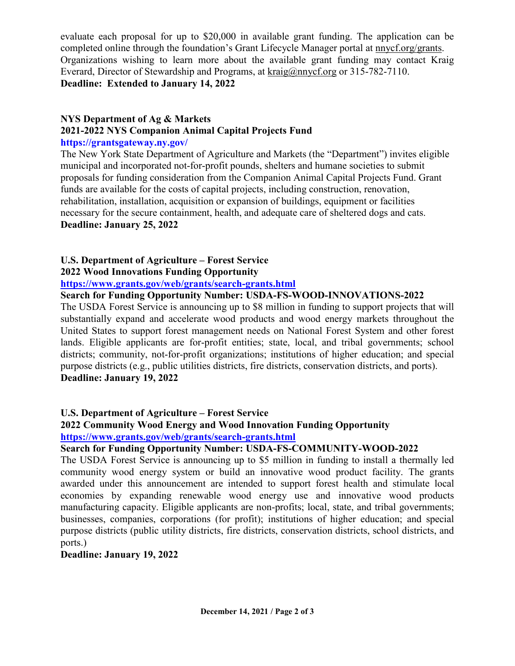evaluate each proposal for up to \$20,000 in available grant funding. The application can be completed online through the foundation's Grant Lifecycle Manager portal at [nnycf.org/grants.](http://nnycf.org/grants) Organizations wishing to learn more about the available grant funding may contact Kraig Everard, Director of Stewardship and Programs, at [kraig@nnycf.org](mailto:kraig@nnycf.org) or 315-782-7110. **Deadline: Extended to January 14, 2022**

#### **NYS Department of Ag & Markets**

### **2021-2022 NYS Companion Animal Capital Projects Fund**

### **https://grantsgateway.ny.gov/**

The New York State Department of Agriculture and Markets (the "Department") invites eligible municipal and incorporated not-for-profit pounds, shelters and humane societies to submit proposals for funding consideration from the Companion Animal Capital Projects Fund. Grant funds are available for the costs of capital projects, including construction, renovation, rehabilitation, installation, acquisition or expansion of buildings, equipment or facilities necessary for the secure containment, health, and adequate care of sheltered dogs and cats. **Deadline: January 25, 2022**

### **U.S. Department of Agriculture – Forest Service 2022 Wood Innovations Funding Opportunity**

**<https://www.grants.gov/web/grants/search-grants.html>**

### **Search for Funding Opportunity Number: USDA-FS-WOOD-INNOVATIONS-2022**

The USDA Forest Service is announcing up to \$8 million in funding to support projects that will substantially expand and accelerate wood products and wood energy markets throughout the United States to support forest management needs on National Forest System and other forest lands. Eligible applicants are for-profit entities; state, local, and tribal governments; school districts; community, not-for-profit organizations; institutions of higher education; and special purpose districts (e.g., public utilities districts, fire districts, conservation districts, and ports). **Deadline: January 19, 2022**

### **U.S. Department of Agriculture – Forest Service**

### **2022 Community Wood Energy and Wood Innovation Funding Opportunity <https://www.grants.gov/web/grants/search-grants.html>**

### **Search for Funding Opportunity Number: [USDA-FS-COMMUNITY-WOOD-2022](javascript:viewOppDetails(335463,true))**

The USDA Forest Service is announcing up to \$5 million in funding to install a thermally led community wood energy system or build an innovative wood product facility. The grants awarded under this announcement are intended to support forest health and stimulate local economies by expanding renewable wood energy use and innovative wood products manufacturing capacity. Eligible applicants are non-profits; local, state, and tribal governments; businesses, companies, corporations (for profit); institutions of higher education; and special purpose districts (public utility districts, fire districts, conservation districts, school districts, and ports.)

#### **Deadline: January 19, 2022**